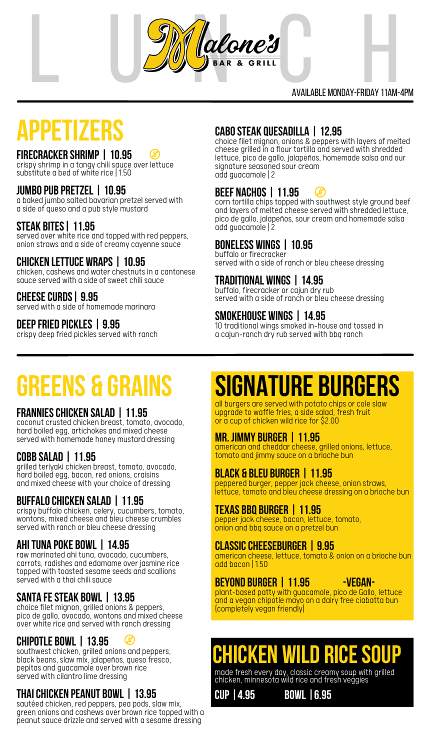

# available Monday-Fr iday 11am-4pmM<br>RIDAY 11AM-4PM<br>RIDAY 11AM-4PM

## **APPETIZERS cabosteak quesadilla <sup>|</sup> 12.95** choice filet mignon, onions & peppers with layers of melted

### **FIRECRACKER SHRIMP | 10.95**

crispyshrimp in a tangy chili sauce over lettuce substitute a bed of white rice | 1.50

### **jumbopub pretzel | 10.95**

a baked jumbo salted bavarian pretzel served with a side of queso and a pub style mustard

### **steak bites| 11.95**

served over white rice and topped with red peppers, onion straws and a side of creamy cayenne sauce

#### **CHICKEN LETTUCE WRAPS | 10.95**

chicken, cashews and water chestnuts in a cantonese sauce served with a side of sweet chili sauce

#### **cheesecurds| 9.95**

served with a side of homemade marinara

### **deepfried pickles | 9.95**

crispy deep fried pickles served with ranch

cheese grilled in a flour tortilla and served with shredded lettuce, pico de gallo, jalapeños, homemade salsa and our signature seasoned sour cream add guacamole |2

#### **beef nachos | 11.95**  $\left( \begin{smallmatrix} 1\\ 1\end{smallmatrix} \right)$

corn tortilla chips topped with southwest style ground beef and layers of melted cheese served with shredded lettuce, pico de gallo, jalapeños, sour cream and homemade salsa add guacamole |2

### **boneless wings | 10.95**

buffalo or firecracker served with a side of ranch or bleu cheese dressing

### **Traditional Wings | 14.95**

buffalo, firecracker or cajun dry rub served with a side of ranch or bleu cheese dressing

### **SMOKEHOUSE WINGS | 14.95**

10 traditional wings smoked in-house and tossed in a cajun-ranch dry rub served with bbq ranch

### **greens & Grains**

### **FRANNIESCHICKEN SALAD | 11.95**

coconut crusted chicken breast, tomato, avocado, hard boiled egg, artichokes and mixed cheese served with homemade honey mustard dressing

### **COBB SALAD | 11.95**

grilled teriyaki chicken breast, tomato, avocado, hard boiled egg, bacon, red onions, craisins and mixed cheese with your choice of dressing

### **BUFFALOCHICKEN SALAD | 11.95**

crispy buffalo chicken, celery, cucumbers, tomato, wontons, mixed cheese and bleu cheese crumbles served with ranch or bleu cheese dressing

### **AHITUNA POKE BOWL | 14.95**

raw marinated ahi tuna, avocado, cucumbers, carrots, radishes and edamame over jasmine rice topped with toasted sesame seeds and scallions served with a thai chili sauce

### **SANTA FESTEAK BOWL | 13.95**

choice filet mignon, grilled onions & peppers, pico de gallo, avocado, wontons and mixed cheese over white rice and served with ranch dressing

### **CHIPOTLE BOWL | 13.95**

southwest chicken, grilled onions and peppers, black beans, slaw mix, jalapeños, queso fresco, pepitas and guacamole over brown rice served with cilantro lime dressing

### **Thaichicken peanut bowl | 13.95**

sautéed chicken, red peppers, pea pods, slaw mix, green onions and cashews over brown rice topped with a peanut sauce drizzle and served with a sesame dressing

### **signature burgers**

all burgers are served with potato chips or cole slaw upgrade to waffle fries, a side salad, fresh fruit or a cup of chicken wild rice for \$2.00

### **MR. JIMMY BURGER | 11.95**

american and cheddar cheese, grilled onions, lettuce, tomato and jimmy sauce on a brioche bun

### **BLACK & BLEU BURGER | 11.95**

peppered burger, pepper jack cheese, onion straws, lettuce, tomato and bleu cheese dressing on a brioche bun

### **TEXAS BBQ BURGER | 11.95**

pepper jack cheese, bacon, lettuce, tomato, onion and bbq sauce on a pretzel bun

### **CLASSICCHEESEBURGER | 9.95**

american cheese, lettuce, tomato & onion on a brioche bun add bacon | 1.50

### **BEYOND BURGER | 11.95 -Vegan-**

plant-based patty with guacamole, pico de Gallo, lettuce and a vegan chipotle mayo on a dairy free ciabatta bun (completely vegan friendly)

### **chicken wild ricesoup**

made fresh every day, classic creamysoup with grilled chicken, minnesota wild rice and fresh veggies

**cup |4.95 bowl |6.95**